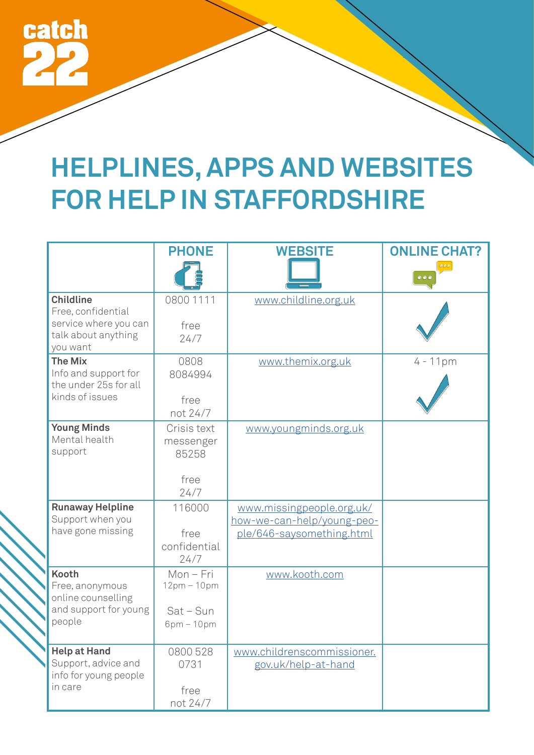

## **HELPLINES, APPS AND WEBSITES FOR HELP IN STAFFORDSHIRE**

|                                                                                          | <b>PHONE</b>                                          | <b>WEBSITE</b>                                                                       | <b>ONLINE CHAT?</b> |
|------------------------------------------------------------------------------------------|-------------------------------------------------------|--------------------------------------------------------------------------------------|---------------------|
|                                                                                          |                                                       |                                                                                      |                     |
| <b>Childline</b><br>Free, confidential<br>service where you can<br>talk about anything   | 0800 1111<br>free<br>24/7                             | www.childline.org.uk                                                                 |                     |
| you want                                                                                 |                                                       |                                                                                      |                     |
| <b>The Mix</b><br>Info and support for<br>the under 25s for all                          | 0808<br>8084994                                       | www.themix.org.uk                                                                    | $4 - 11pm$          |
| kinds of issues                                                                          | free<br>not 24/7                                      |                                                                                      |                     |
| <b>Young Minds</b><br>Mental health<br>support                                           | Crisis text<br>messenger<br>85258<br>free             | www.youngminds.org.uk                                                                |                     |
|                                                                                          | 24/7                                                  |                                                                                      |                     |
| <b>Runaway Helpline</b><br>Support when you<br>have gone missing                         | 116000<br>free<br>confidential<br>24/7                | www.missingpeople.org.uk/<br>how-we-can-help/young-peo-<br>ple/646-saysomething.html |                     |
| <b>Kooth</b><br>Free, anonymous<br>online counselling<br>and support for young<br>people | Mon-Fri<br>$12pm - 10pm$<br>$Sat-Sun$<br>$6pm - 10pm$ | www.kooth.com                                                                        |                     |
| <b>Help at Hand</b><br>Support, advice and                                               | 0800 528<br>0731                                      | www.childrenscommissioner.<br>gov.uk/help-at-hand                                    |                     |
| info for young people<br>in care                                                         | free<br>not 24/7                                      |                                                                                      |                     |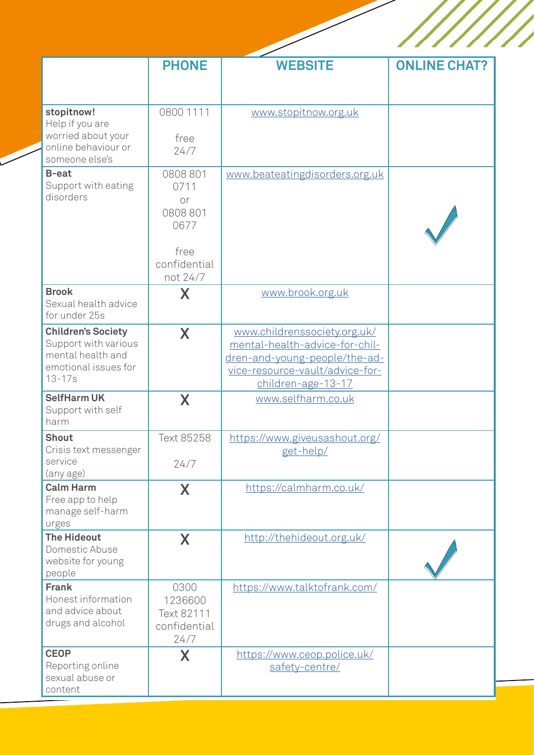|                                                                                                              | <b>PHONE</b>                                                                 | <b>WEBSITE</b>                                                                                                                                           | <b>ONLINE CHAT?</b> |
|--------------------------------------------------------------------------------------------------------------|------------------------------------------------------------------------------|----------------------------------------------------------------------------------------------------------------------------------------------------------|---------------------|
| stopitnow!<br>Help if you are<br>worried about your<br>online behaviour or<br>someone else's                 | 0800 1111<br>free<br>24/7                                                    | www.stopitnow.org.uk                                                                                                                                     |                     |
| B-eat<br>Support with eating<br>disorders                                                                    | 0808801<br>0711<br>or<br>0808801<br>0677<br>free<br>confidential<br>not 24/7 | www.beateatingdisorders.org.uk                                                                                                                           |                     |
| <b>Brook</b><br>Sexual health advice<br>for under 25s                                                        | X                                                                            | www.brook.org.uk                                                                                                                                         |                     |
| <b>Children's Society</b><br>Support with various<br>mental health and<br>emotional issues for<br>$13 - 17s$ | X                                                                            | www.childrenssociety.org.uk/<br>mental-health-advice-for-chil-<br>dren-and-young-people/the-ad-<br>vice-resource-vault/advice-for-<br>children-age-13-17 |                     |
| <b>SelfHarm UK</b><br>Support with self<br>harm                                                              | X                                                                            | www.selfharm.co.uk                                                                                                                                       |                     |
| <b>Shout</b><br>Crisis text messenger<br>service<br>(any age)                                                | Text 85258<br>24/7                                                           | https://www.giveusashout.org/<br>get-help/                                                                                                               |                     |
| <b>Calm Harm</b><br>Free app to help<br>manage self-harm<br>urges                                            | X                                                                            | https://calmharm.co.uk/                                                                                                                                  |                     |
| <b>The Hideout</b><br>Domestic Abuse<br>website for young<br>people                                          | X                                                                            | http://thehideout.org.uk/                                                                                                                                |                     |
| <b>Frank</b><br>Honest information<br>and advice about<br>drugs and alcohol                                  | 0300<br>1236600<br>Text 82111<br>confidential<br>24/7                        | https://www.talktofrank.com/                                                                                                                             |                     |
| <b>CEOP</b><br>Reporting online<br>sexual abuse or<br>content                                                | X                                                                            | https://www.ceop.police.uk/<br>safety-centre/                                                                                                            |                     |

i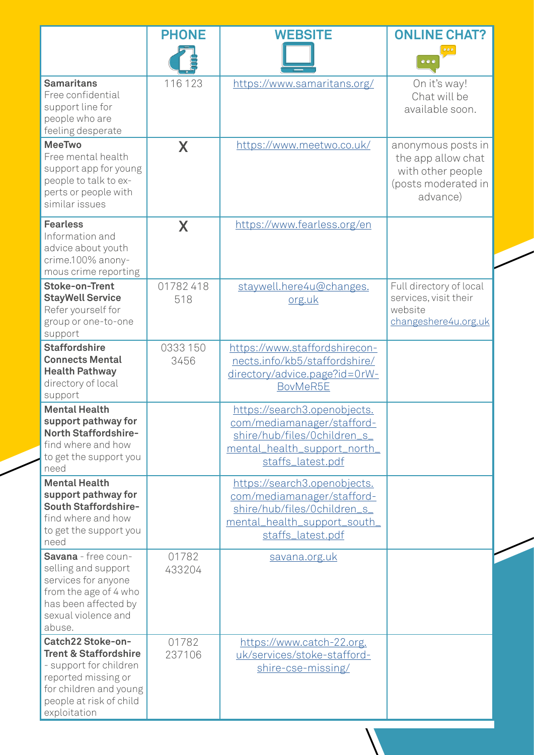|                                                                                                                                                                             | <b>PHONE</b>     | <b>WEBSITE</b>                                                                                                                                  | <b>ONLINE CHAT?</b><br>$\bullet\bullet\bullet$                                                   |
|-----------------------------------------------------------------------------------------------------------------------------------------------------------------------------|------------------|-------------------------------------------------------------------------------------------------------------------------------------------------|--------------------------------------------------------------------------------------------------|
| <b>Samaritans</b><br>Free confidential<br>support line for<br>people who are<br>feeling desperate                                                                           | 116 123          | https://www.samaritans.org/                                                                                                                     | On it's way!<br>Chat will be<br>available soon.                                                  |
| <b>MeeTwo</b><br>Free mental health<br>support app for young<br>people to talk to ex-<br>perts or people with<br>similar issues                                             | X                | https://www.meetwo.co.uk/                                                                                                                       | anonymous posts in<br>the app allow chat<br>with other people<br>(posts moderated in<br>advance) |
| <b>Fearless</b><br>Information and<br>advice about youth<br>crime.100% anony-<br>mous crime reporting                                                                       | X                | https://www.fearless.org/en                                                                                                                     |                                                                                                  |
| <b>Stoke-on-Trent</b><br><b>StayWell Service</b><br>Refer yourself for<br>group or one-to-one<br>support                                                                    | 01782418<br>518  | staywell.here4u@changes.<br>org.uk                                                                                                              | Full directory of local<br>services, visit their<br>website<br>changeshere4u.org.uk              |
| <b>Staffordshire</b><br><b>Connects Mental</b><br><b>Health Pathway</b><br>directory of local<br>support                                                                    | 0333 150<br>3456 | https://www.staffordshirecon-<br>nects.info/kb5/staffordshire/<br>directory/advice.page?id=0rW-<br>BovMeR5E                                     |                                                                                                  |
| <b>Mental Health</b><br>support pathway for<br>North Staffordshire-<br>find where and how<br>to get the support you<br>need                                                 |                  | https://search3.openobjects.<br>com/mediamanager/stafford-<br>shire/hub/files/0children_s_<br>mental_health_support_north_<br>staffs_latest.pdf |                                                                                                  |
| <b>Mental Health</b><br>support pathway for<br>South Staffordshire-<br>find where and how<br>to get the support you<br>need                                                 |                  | https://search3.openobjects.<br>com/mediamanager/stafford-<br>shire/hub/files/0children_s_<br>mental_health_support_south_<br>staffs_latest.pdf |                                                                                                  |
| Savana - free coun-<br>selling and support<br>services for anyone<br>from the age of 4 who<br>has been affected by<br>sexual violence and<br>abuse.                         | 01782<br>433204  | savana.org.uk                                                                                                                                   |                                                                                                  |
| Catch22 Stoke-on-<br><b>Trent &amp; Staffordshire</b><br>- support for children<br>reported missing or<br>for children and young<br>people at risk of child<br>exploitation | 01782<br>237106  | https://www.catch-22.org.<br>uk/services/stoke-stafford-<br>shire-cse-missing/                                                                  |                                                                                                  |